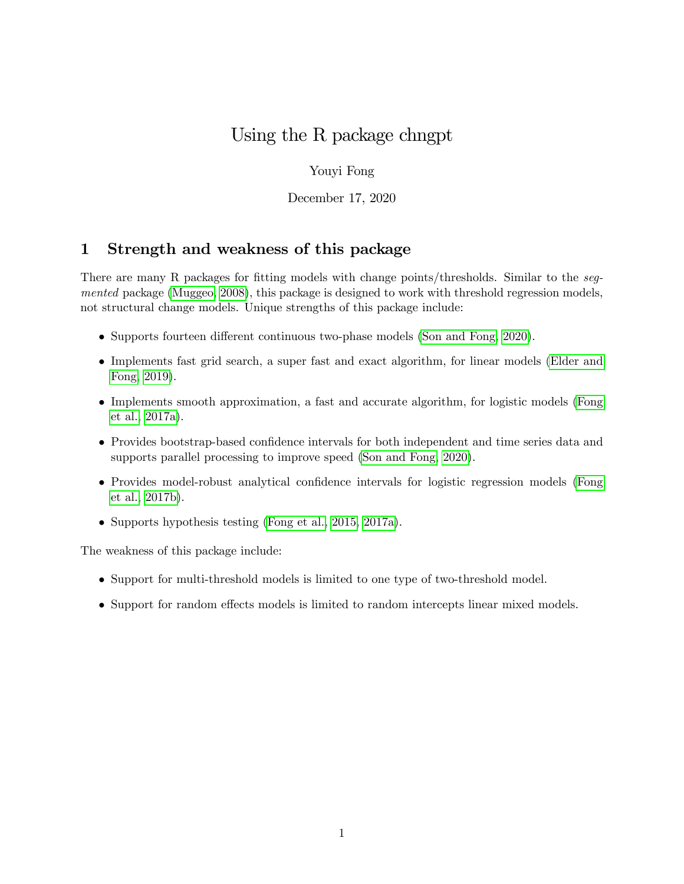# Using the R package chngpt

### Youyi Fong

December 17, 2020

# 1 Strength and weakness of this package

There are many R packages for fitting models with change points/thresholds. Similar to the segmented package [\(Muggeo, 2008\)](#page-19-0), this package is designed to work with threshold regression models, not structural change models. Unique strengths of this package include:

- $\bullet$  Supports fourteen different continuous two-phase models [\(Son and Fong, 2020\)](#page-19-1).
- Implements fast grid search, a super fast and exact algorithm, for linear models [\(Elder and](#page-19-2) [Fong, 2019\)](#page-19-2).
- Implements smooth approximation, a fast and accurate algorithm, for logistic models [\(Fong](#page-19-3) [et al., 2017a\)](#page-19-3).
- Provides bootstrap-based confidence intervals for both independent and time series data and supports parallel processing to improve speed [\(Son and Fong, 2020\)](#page-19-1).
- Provides model-robust analytical confidence intervals for logistic regression models [\(Fong](#page-19-4) [et al., 2017b\)](#page-19-4).
- Supports hypothesis testing [\(Fong et al., 2015,](#page-19-5) [2017a\)](#page-19-3).

The weakness of this package include:

- Support for multi-threshold models is limited to one type of two-threshold model.
- Support for random effects models is limited to random intercepts linear mixed models.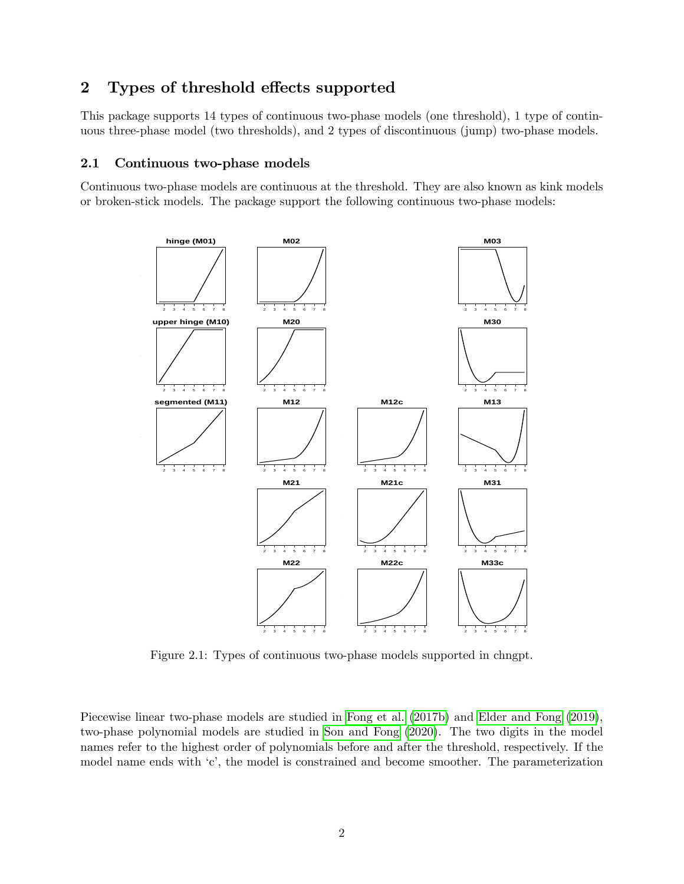# 2 Types of threshold effects supported

This package supports 14 types of continuous two-phase models (one threshold), 1 type of continuous three-phase model (two thresholds), and 2 types of discontinuous (jump) two-phase models.

#### 2.1 Continuous two-phase models

Continuous two-phase models are continuous at the threshold. They are also known as kink models or broken-stick models. The package support the following continuous two-phase models:



Figure 2.1: Types of continuous two-phase models supported in chngpt.

Piecewise linear two-phase models are studied in [Fong et al.](#page-19-4) [\(2017b\)](#page-19-4) and [Elder and Fong](#page-19-2) [\(2019\)](#page-19-2), two-phase polynomial models are studied in [Son and Fong](#page-19-1) [\(2020\)](#page-19-1). The two digits in the model names refer to the highest order of polynomials before and after the threshold, respectively. If the model name ends with 'c', the model is constrained and become smoother. The parameterization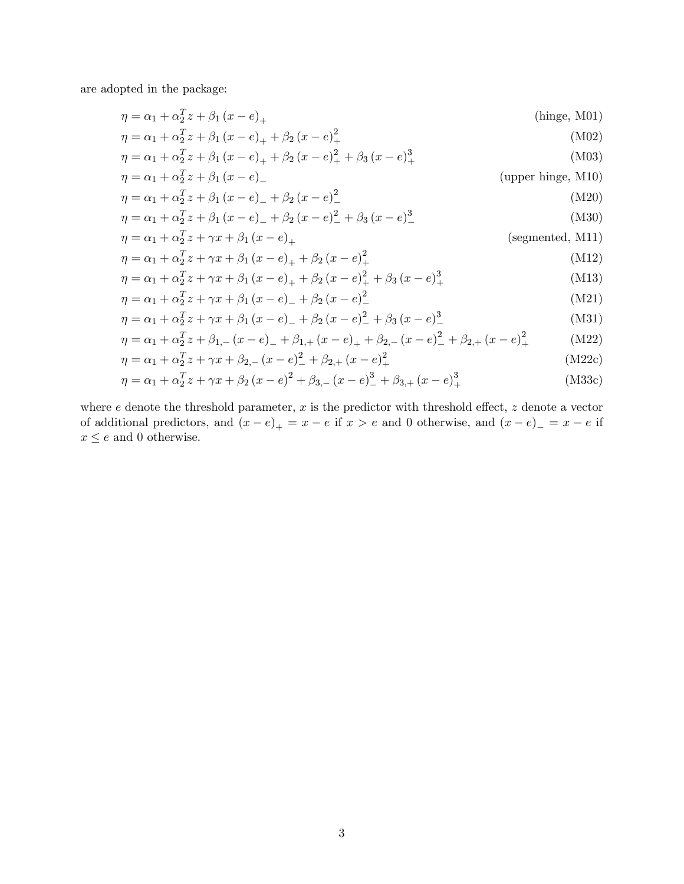are adopted in the package:

$$
\eta = \alpha_1 + \alpha_2^T z + \beta_1 (x - e)_+
$$
\n(hinge, M01)

\n
$$
\frac{T}{\sqrt{2\pi}} \left( \frac{1}{2} \right)^2
$$
\n(1402)

$$
\eta = \alpha_1 + \alpha_2^T z + \beta_1 (x - e)_+ + \beta_2 (x - e)_+^2
$$
  
\n
$$
\eta = \alpha_1 + \alpha_2^T z + \beta_1 (x - e)_+ + \beta_2 (x - e)_+^2 + \beta_3 (x - e)_+^3
$$
\n(M02)  
\n(M03)

$$
\eta = \alpha_1 + \alpha_2^T z + \beta_1 (x - e)
$$
\n(upper hinge, M10)

$$
\eta = \alpha_1 + \alpha_2^T z + \beta_1 (x - e)_- + \beta_2 (x - e)_-^2 \tag{M20}
$$

$$
\eta = \alpha_1 + \alpha_2^T z + \beta_1 (x - e)_- + \beta_2 (x - e)_-^2 + \beta_3 (x - e)_-^3
$$
\n(M30)

<span id="page-2-0"></span>
$$
\eta = \alpha_1 + \alpha_2^T z + \gamma x + \beta_1 (x - e)_+ \tag{segmented, M11}
$$

$$
\eta = \alpha_1 + \alpha_2^T z + \gamma x + \beta_1 (x - e)_+ + \beta_2 (x - e)_+^2
$$
\n(M12)

$$
\eta = \alpha_1 + \alpha_2^T z + \gamma x + \beta_1 (x - e)_+ + \beta_2 (x - e)_+^2 + \beta_3 (x - e)_+^3
$$
\n(M13)\n  
\n
$$
n = \alpha_1 + \alpha_2^T z + \alpha_3^T z + \beta_4 (x - e)_+ + \beta_2 (x - e)_+^2
$$
\n(M13)

$$
\eta = \alpha_1 + \alpha_2^T z + \gamma x + \beta_1 (x - e)_- + \beta_2 (x - e)_-^2
$$
\n
$$
n = \alpha_1 + \alpha_2^T z + \alpha_3 + \beta_3 (x - e)_- + \beta_2 (x - e)_-^2 + \beta_3 (x - e)_-^3
$$
\n(M21)

$$
\eta = \alpha_1 + \alpha_2^T z + \gamma x + \beta_1 (x - e)_- + \beta_2 (x - e)_-^2 + \beta_3 (x - e)_-^3
$$
(M31)  

$$
x = \alpha_1 + \alpha_2^T z + \beta_2 (x - e)_- + \beta_3 (x - e)_-^2 + \beta_3 (x - e)_-^2 + \beta_2 (x - e)_-^2
$$
(M32)

$$
\eta = \alpha_1 + \alpha_2^T z + \beta_{1,-} (x - e)_- + \beta_{1,+} (x - e)_+ + \beta_{2,-} (x - e)_-^2 + \beta_{2,+} (x - e)_+^2 \tag{M22}
$$
\n
$$
n = \alpha_1 + \alpha_2^T z + \alpha_3 z + \beta_2 (x - e)_+^2 + \beta_3 (x - e)_-^2 \tag{M22}
$$

$$
\eta = \alpha_1 + \alpha_2^T z + \gamma x + \beta_{2,-} (x - e)_-^2 + \beta_{2,+} (x - e)_+^2
$$
\n(M22c)

$$
\eta = \alpha_1 + \alpha_2^T z + \gamma x + \beta_2 (x - e)^2 + \beta_{3,-} (x - e)^3 + \beta_{3,+} (x - e)^3_+
$$
\n(M33c)

where  $e$  denote the threshold parameter,  $x$  is the predictor with threshold effect,  $z$  denote a vector of additional predictors, and  $(x - e)_+ = x - e$  if  $x > e$  and 0 otherwise, and  $(x - e)_- = x - e$  if  $x\leq e$  and  $0$  otherwise.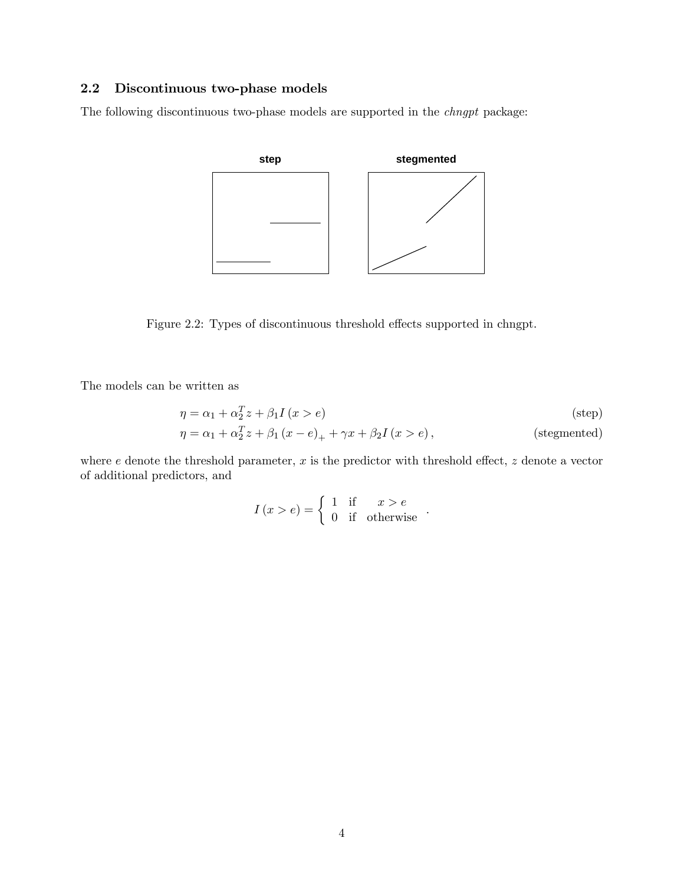### 2.2 Discontinuous two-phase models

The following discontinuous two-phase models are supported in the chngpt package:



Figure 2.2: Types of discontinuous threshold effects supported in chngpt.

The models can be written as

$$
\eta = \alpha_1 + \alpha_2^T z + \beta_1 I(x > e)
$$
 (step)  
\n
$$
\eta = \alpha_1 + \alpha_2^T z + \beta_1 (x - e)_+ + \gamma x + \beta_2 I(x > e),
$$
 (stegmented)

where  $e$  denote the threshold parameter,  $x$  is the predictor with threshold effect,  $z$  denote a vector of additional predictors, and

$$
I(x>e) = \begin{cases} 1 & \text{if } x > e \\ 0 & \text{if} \quad \text{otherwise} \end{cases}.
$$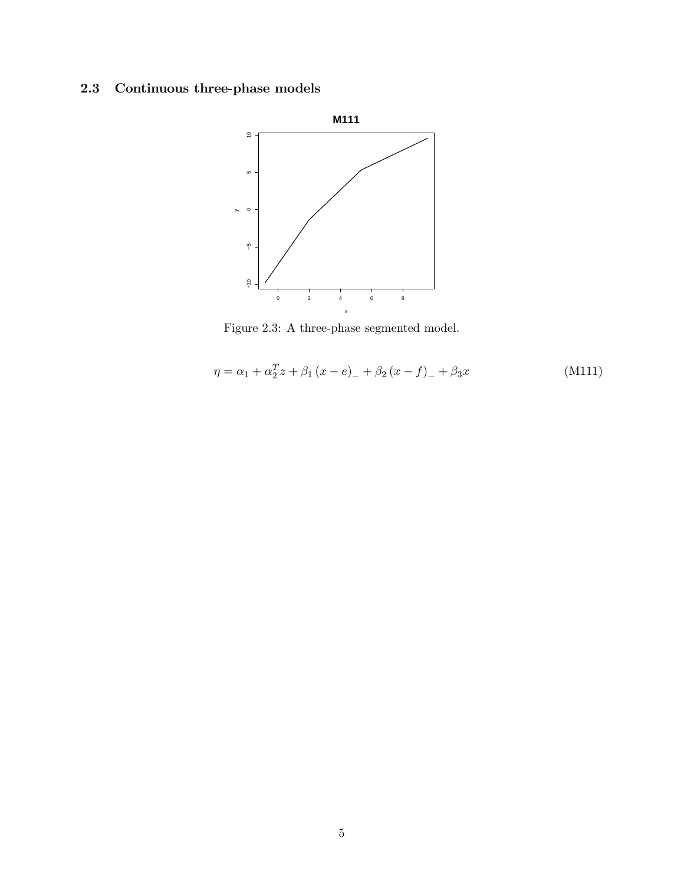# 2.3 Continuous three-phase models



Figure 2.3: A three-phase segmented model.

$$
\eta = \alpha_1 + \alpha_2^T z + \beta_1 (x - e)_- + \beta_2 (x - f)_- + \beta_3 x \tag{M111}
$$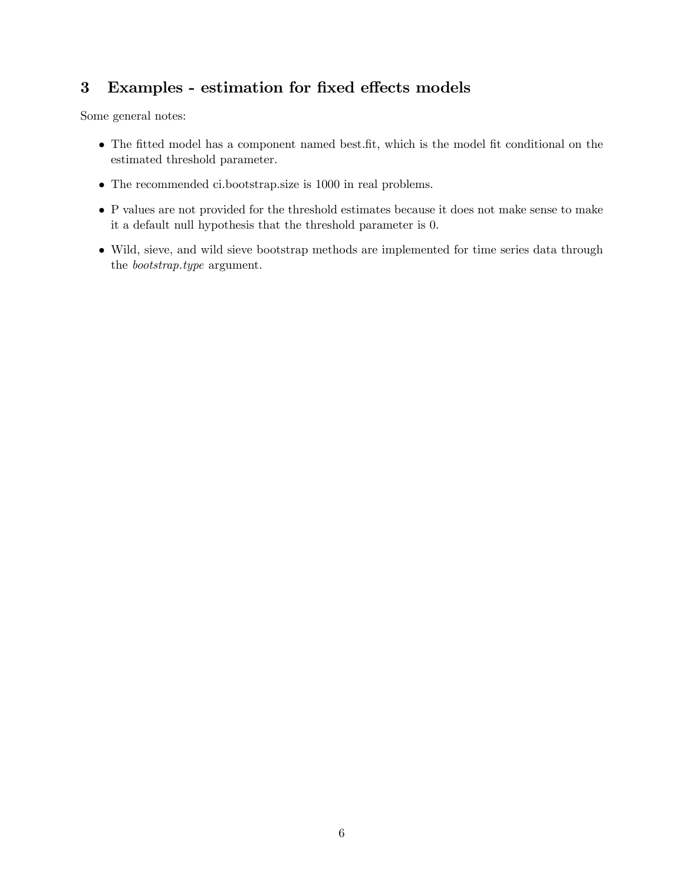# 3 Examples - estimation for fixed effects models

Some general notes:

- The fitted model has a component named best.fit, which is the model fit conditional on the estimated threshold parameter.
- The recommended ci.bootstrap.size is 1000 in real problems.
- P values are not provided for the threshold estimates because it does not make sense to make it a default null hypothesis that the threshold parameter is 0.
- Wild, sieve, and wild sieve bootstrap methods are implemented for time series data through the bootstrap.type argument.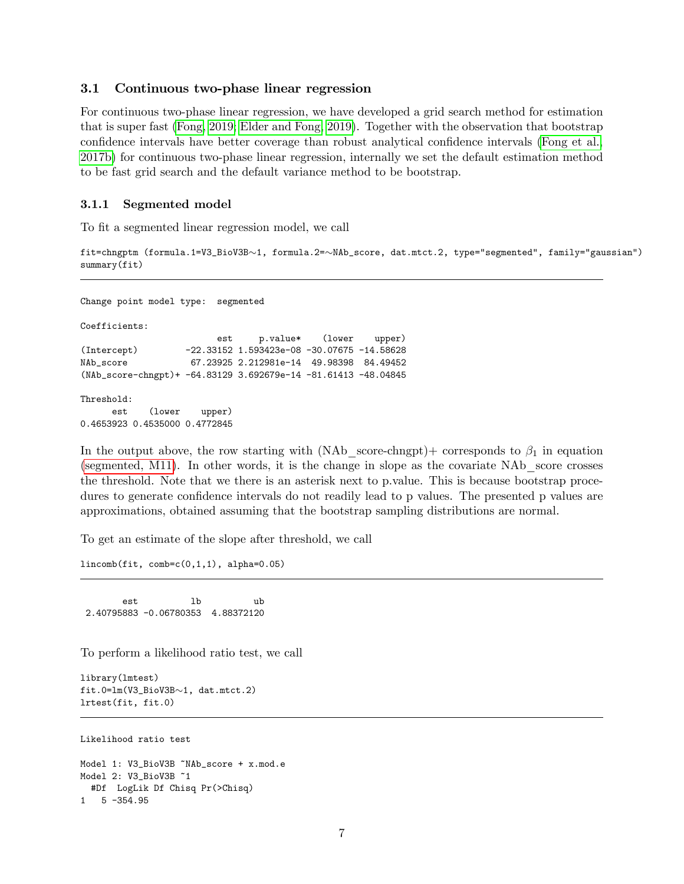#### 3.1 Continuous two-phase linear regression

For continuous two-phase linear regression, we have developed a grid search method for estimation that is super fast [\(Fong, 2019;](#page-19-6) [Elder and Fong, 2019\)](#page-19-2). Together with the observation that bootstrap confidence intervals have better coverage than robust analytical confidence intervals [\(Fong et al.,](#page-19-4) [2017b\)](#page-19-4) for continuous two-phase linear regression, internally we set the default estimation method to be fast grid search and the default variance method to be bootstrap.

#### <span id="page-6-0"></span>3.1.1 Segmented model

To fit a segmented linear regression model, we call

fit=chngptm (formula.1=V3\_BioV3B~1, formula.2=~NAb\_score, dat.mtct.2, type="segmented", family="gaussian") summary(fit)

Change point model type: segmented Coefficients: est p.value\* (lower upper) (Intercept) -22.33152 1.593423e-08 -30.07675 -14.58628 NAb\_score 67.23925 2.212981e-14 49.98398 84.49452 (NAb\_score-chngpt)+ -64.83129 3.692679e-14 -81.61413 -48.04845

Threshold:

est (lower upper) 0.4653923 0.4535000 0.4772845

In the output above, the row starting with  $(NAb\_score\text{-}chngpt)$  corresponds to  $\beta_1$  in equation [\(segmented, M11\)](#page-2-0). In other words, it is the change in slope as the covariate NAb\_score crosses the threshold. Note that we there is an asterisk next to p.value. This is because bootstrap procedures to generate confidence intervals do not readily lead to p values. The presented p values are approximations, obtained assuming that the bootstrap sampling distributions are normal.

To get an estimate of the slope after threshold, we call

lincomb(fit, comb=c(0,1,1), alpha=0.05)

est lb ub 2.40795883 -0.06780353 4.88372120

To perform a likelihood ratio test, we call

```
library(lmtest)
fit.0=lm(V3_BioV3B~1, dat.mtct.2)lrtest(fit, fit.0)
```
Likelihood ratio test

```
Model 1: V3_BioV3B ~NAb_score + x.mod.e
Model 2: V3_BioV3B ~1
 #Df LogLik Df Chisq Pr(>Chisq)
1 5 -354.95
```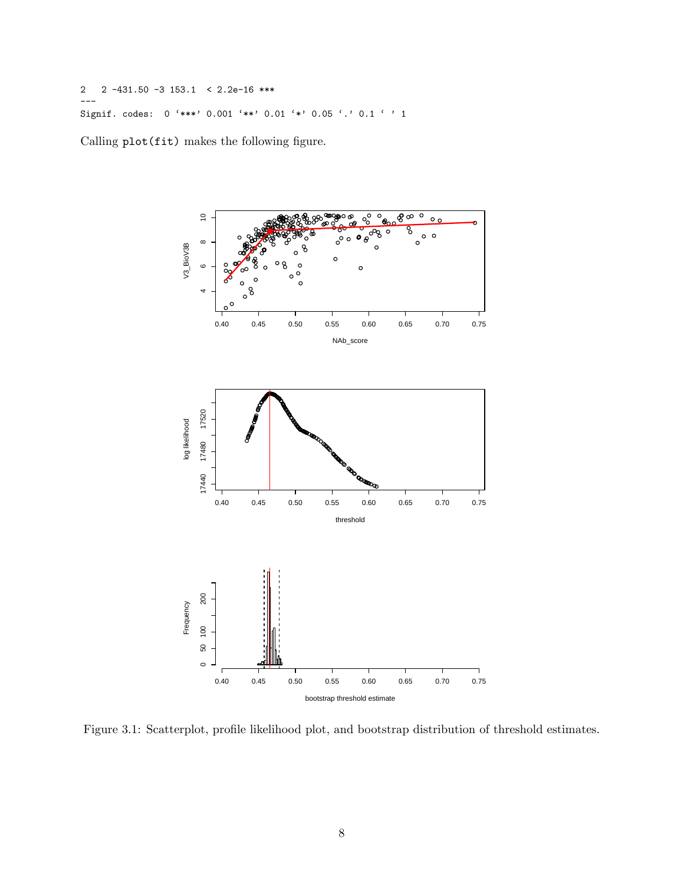2 2 -431.50 -3 153.1 < 2.2e-16 \*\*\* --- Signif. codes: 0 '\*\*\*' 0.001 '\*\*' 0.01 '\*' 0.05 '.' 0.1 ' ' 1

Calling plot(fit) makes the following figure.



Figure 3.1: Scatterplot, profile likelihood plot, and bootstrap distribution of threshold estimates.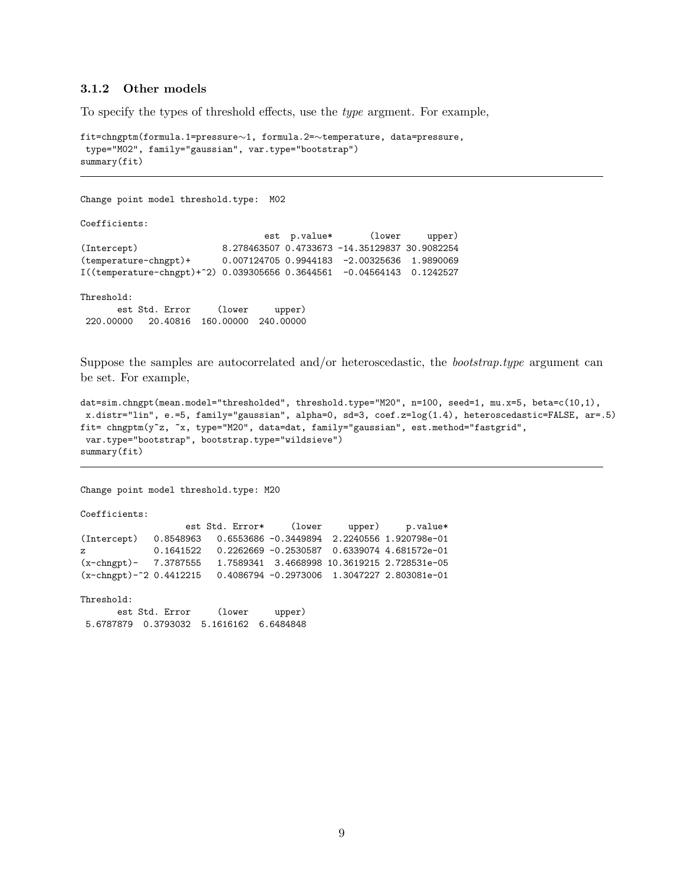#### 3.1.2 Other models

To specify the types of threshold effects, use the *type* argment. For example,

```
fit = \text{chngptm}(formula.1 = pressure \sim 1, formula.2 = \sim temperature, data = pressure,type="M02", family="gaussian", var.type="bootstrap")
summary(fit)
```

```
Change point model threshold.type: M02
Coefficients:
                               est p.value* (lower upper)
(Intercept) 8.278463507 0.4733673 -14.35129837 30.9082254
(temperature-chngpt)+ 0.007124705 0.9944183 -2.00325636 1.9890069
I((temperature-chngpt)+^2) 0.039305656 0.3644561 -0.04564143 0.1242527
Threshold:
      est Std. Error (lower upper)
220.00000 20.40816 160.00000 240.00000
```
Suppose the samples are autocorrelated and/or heteroscedastic, the *bootstrap.type* argument can be set. For example,

```
dat=sim.chngpt(mean.model="thresholded", threshold.type="M20", n=100, seed=1, mu.x=5, beta=c(10,1),
x.distr="lin", e.=5, family="gaussian", alpha=0, sd=3, coef.z=log(1.4), heteroscedastic=FALSE, ar=.5)
fit= chngptm(y<sup>-z</sup>, <sup>-x</sup>, type="M20", data=dat, family="gaussian", est.method="fastgrid",
var.type="bootstrap", bootstrap.type="wildsieve")
summary(fit)
```
Change point model threshold.type: M20

Coefficients:

```
est Std. Error* (lower upper) p.value*
(Intercept) 0.8548963 0.6553686 -0.3449894 2.2240556 1.920798e-01
z 0.1641522 0.2262669 -0.2530587 0.6339074 4.681572e-01
(x-chngpt)- 7.3787555 1.7589341 3.4668998 10.3619215 2.728531e-05
(x-chngpt)-^2 0.4412215 0.4086794 -0.2973006 1.3047227 2.803081e-01
```
Threshold:

| est Std. Error                             | (lower) | upper) |
|--------------------------------------------|---------|--------|
| 5.6787879  0.3793032  5.1616162  6.6484848 |         |        |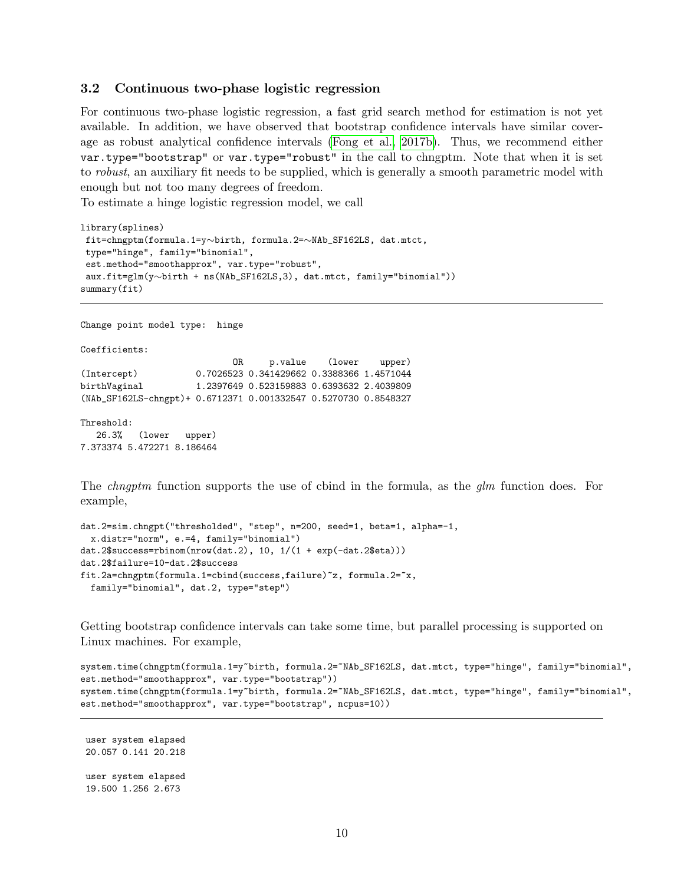#### 3.2 Continuous two-phase logistic regression

For continuous two-phase logistic regression, a fast grid search method for estimation is not yet available. In addition, we have observed that bootstrap confidence intervals have similar cover-age as robust analytical confidence intervals [\(Fong et al., 2017b\)](#page-19-4). Thus, we recommend either var.type="bootstrap" or var.type="robust" in the call to chngptm. Note that when it is set to robust, an auxiliary fit needs to be supplied, which is generally a smooth parametric model with enough but not too many degrees of freedom.

To estimate a hinge logistic regression model, we call

```
library(splines)
fit=chngptm(formula.1=y~birth, formula.2=~NAb_SF162LS, dat.mtct,
type="hinge", family="binomial",
est.method="smoothapprox", var.type="robust",
aux.fit=glm(y\sim birth + ns(NAb_SFI62LS,3), dat.mtct, family="binomial"))summary(fit)
```
Change point model type: hinge Coefficients: OR p.value (lower upper) (Intercept) 0.7026523 0.341429662 0.3388366 1.4571044 birthVaginal 1.2397649 0.523159883 0.6393632 2.4039809 (NAb\_SF162LS-chngpt)+ 0.6712371 0.001332547 0.5270730 0.8548327 Threshold:

```
26.3% (lower upper)
7.373374 5.472271 8.186464
```
The *chngptm* function supports the use of cbind in the formula, as the *qlm* function does. For example,

```
dat.2=sim.chngpt("thresholded", "step", n=200, seed=1, beta=1, alpha=-1,
 x.distr="norm", e.=4, family="binomial")
dat.2$success=rbinom(nrow(dat.2), 10, 1/(1 + exp(-dat.2$eta)))
dat.2$failure=10-dat.2$success
fit.2a=chngptm(formula.1=cbind(success,failure)~z, formula.2=~x,
 family="binomial", dat.2, type="step")
```
Getting bootstrap confidence intervals can take some time, but parallel processing is supported on Linux machines. For example,

```
system.time(chngptm(formula.1=y~birth, formula.2=~NAb_SF162LS, dat.mtct, type="hinge", family="binomial",
est.method="smoothapprox", var.type="bootstrap"))
system.time(chngptm(formula.1=y~birth, formula.2=~NAb_SF162LS, dat.mtct, type="hinge", family="binomial",
est.method="smoothapprox", var.type="bootstrap", ncpus=10))
```
user system elapsed 20.057 0.141 20.218 user system elapsed 19.500 1.256 2.673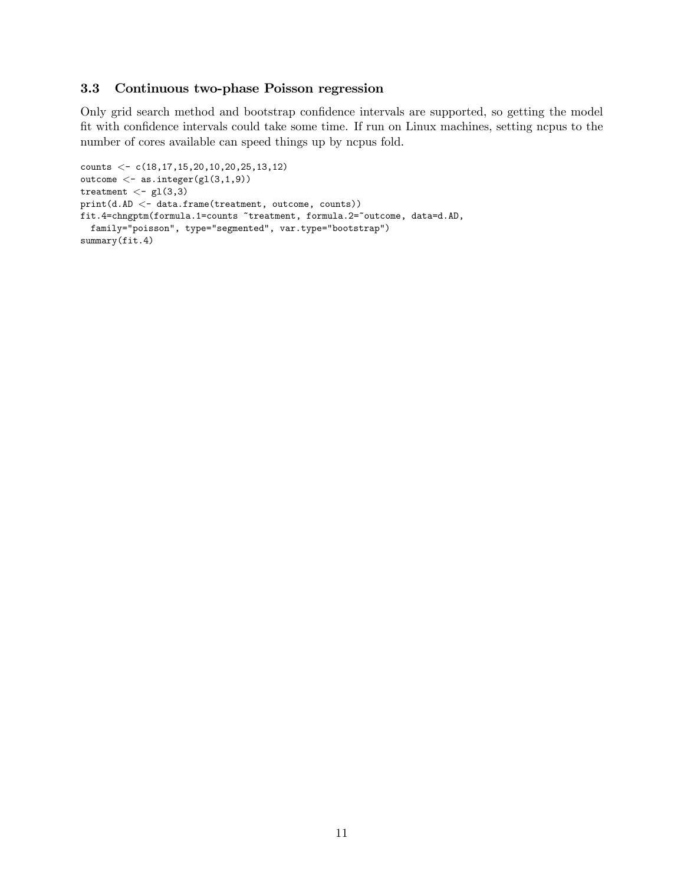#### 3.3 Continuous two-phase Poisson regression

Only grid search method and bootstrap confidence intervals are supported, so getting the model fit with confidence intervals could take some time. If run on Linux machines, setting ncpus to the number of cores available can speed things up by ncpus fold.

```
counts <- c(18,17,15,20,10,20,25,13,12)
outcome \langle - as.integer(gl(3,1,9))
treatment <- gl(3,3)
print(d.AD < - data-frame(treatment, outcome, counts))fit.4=chngptm(formula.1=counts "treatment, formula.2="outcome, data=d.AD,
 family="poisson", type="segmented", var.type="bootstrap")
summary(fit.4)
```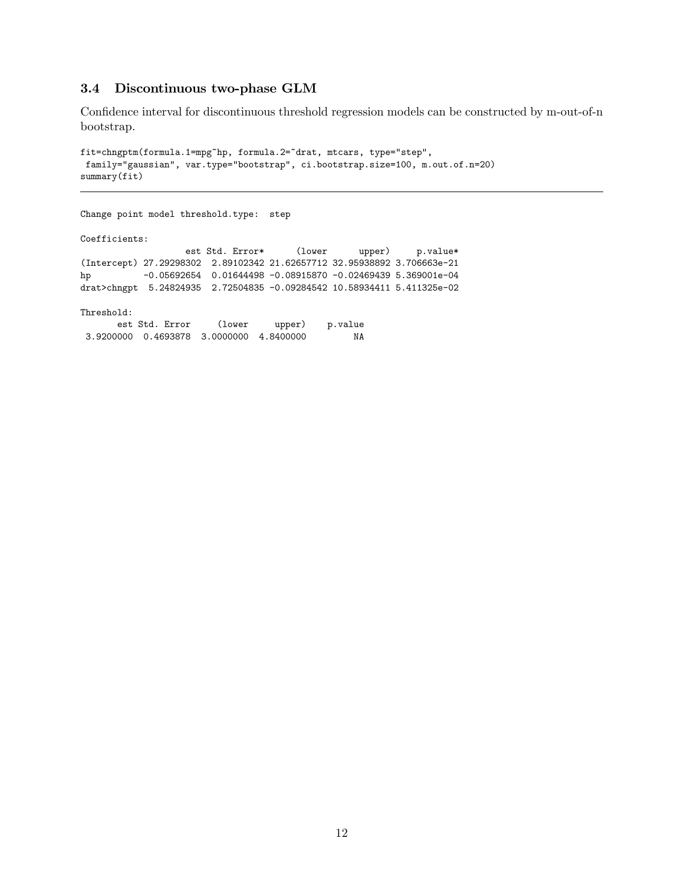### 3.4 Discontinuous two-phase GLM

Confidence interval for discontinuous threshold regression models can be constructed by m-out-of-n bootstrap.

```
fit=chngptm(formula.1=mpg~hp, formula.2=~drat, mtcars, type="step",
family="gaussian", var.type="bootstrap", ci.bootstrap.size=100, m.out.of.n=20)
summary(fit)
```

```
Change point model threshold.type: step
Coefficients:
                 est Std. Error* (lower upper) p.value*
(Intercept) 27.29298302 2.89102342 21.62657712 32.95938892 3.706663e-21
hp -0.05692654 0.01644498 -0.08915870 -0.02469439 5.369001e-04
drat>chngpt 5.24824935 2.72504835 -0.09284542 10.58934411 5.411325e-02
Threshold:
      est Std. Error (lower upper) p.value
3.9200000 0.4693878 3.0000000 4.8400000 NA
```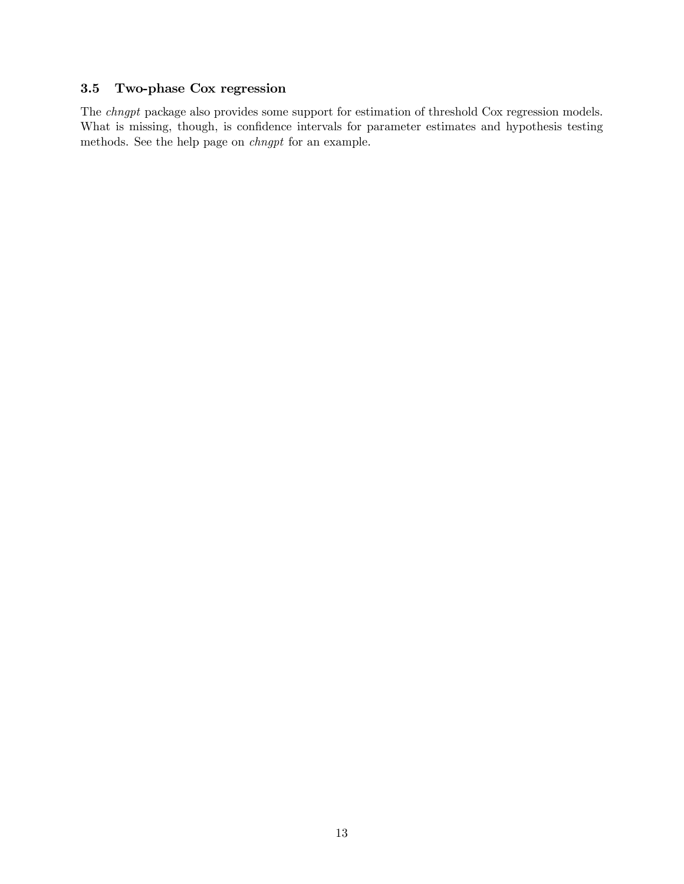## 3.5 Two-phase Cox regression

The chngpt package also provides some support for estimation of threshold Cox regression models. What is missing, though, is confidence intervals for parameter estimates and hypothesis testing methods. See the help page on chngpt for an example.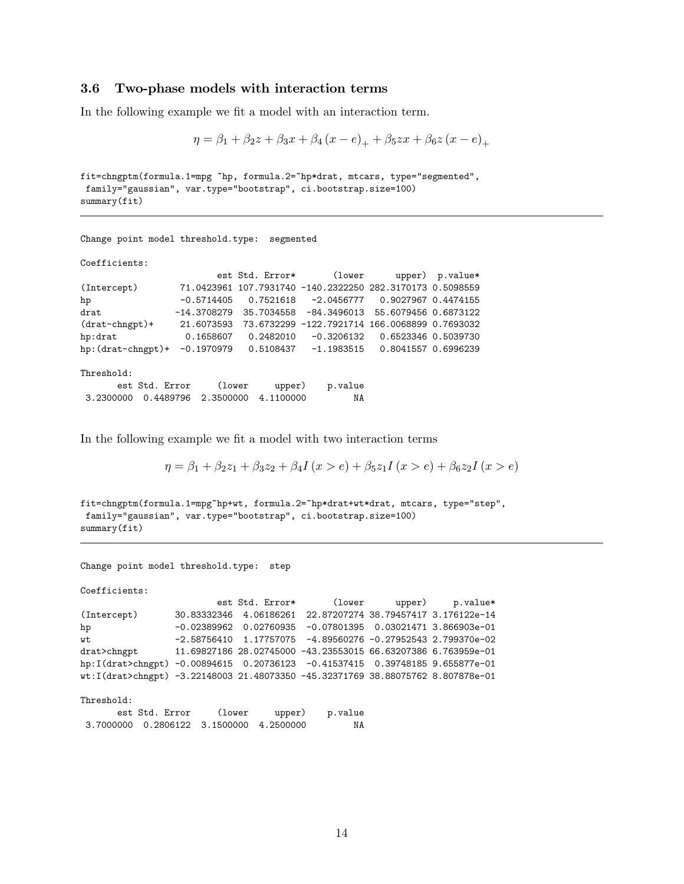#### 3.6 Two-phase models with interaction terms

In the following example we fit a model with an interaction term.

```
\eta = \beta_1 + \beta_2 z + \beta_3 x + \beta_4 (x - e)_+ + \beta_5 z x + \beta_6 z (x - e)_+
```

```
\verb|fit=chngptm(formula.1=mpg ^<br/>p, formula.2=^npt*drat, mtcars, type="<br/>segmented",family="gaussian", var.type="bootstrap", ci.bootstrap.size=100)
summary(fit)
```
Change point model threshold.type: segmented

Coefficients:

| $-0.5714405$        |           |                               |                                                                   |                                                                                                                                                                                                                                                    |
|---------------------|-----------|-------------------------------|-------------------------------------------------------------------|----------------------------------------------------------------------------------------------------------------------------------------------------------------------------------------------------------------------------------------------------|
| $-14.3708279$       |           |                               |                                                                   |                                                                                                                                                                                                                                                    |
| 21.6073593          |           |                               |                                                                   |                                                                                                                                                                                                                                                    |
| 0.1658607           | 0.2482010 |                               | 0.6523346 0.5039730                                               |                                                                                                                                                                                                                                                    |
| hp: (drat-chngpt) + |           |                               |                                                                   |                                                                                                                                                                                                                                                    |
|                     |           |                               |                                                                   |                                                                                                                                                                                                                                                    |
| est Std. Error      |           | p.value                       |                                                                   |                                                                                                                                                                                                                                                    |
|                     |           | ΝA                            |                                                                   |                                                                                                                                                                                                                                                    |
|                     |           | (lower<br>0.4489796 2.3500000 | est Std. Error*<br>0.7521618<br>35.7034558<br>upper)<br>4.1100000 | (lower upper) p.value*<br>71.0423961 107.7931740 -140.2322250 282.3170173 0.5098559<br>-84.3496013 55.6079456 0.6873122<br>73.6732299 -122.7921714 166.0068899 0.7693032<br>-0.3206132<br>$-0.1970979$ 0.5108437 $-1.1983515$ 0.8041557  0.6996239 |

In the following example we fit a model with two interaction terms

 $\eta = \beta_1 + \beta_2 z_1 + \beta_3 z_2 + \beta_4 I(x > e) + \beta_5 z_1 I(x > e) + \beta_6 z_2 I(x > e)$ 

```
fit=chngptm(formula.1=mpg~hp+wt, formula.2=~hp*drat+wt*drat, mtcars, type="step",
family="gaussian", var.type="bootstrap", ci.bootstrap.size=100)
summary(fit)
```

```
Change point model threshold.type: step
```
Coefficients:

|                                                                                 |  | est Std. Error* (lower upper) p.value*                                |  |
|---------------------------------------------------------------------------------|--|-----------------------------------------------------------------------|--|
| (Intercept)                                                                     |  | 30.83332346  4.06186261  22.87207274  38.79457417  3.176122e-14       |  |
| hp                                                                              |  | $-0.02389962$ 0.02760935 $-0.07801395$ 0.03021471 3.866903e-01        |  |
| wt                                                                              |  | $-2.58756410$ $1.17757075$ $-4.89560276$ $-0.27952543$ $2.799370e-02$ |  |
| drat>chngpt     11.69827186 28.02745000 -43.23553015 66.63207386 6.763959e-01   |  |                                                                       |  |
| hp:I(drat>chngpt) -0.00894615 0.20736123 -0.41537415 0.39748185 9.655877e-01    |  |                                                                       |  |
| wt:I(drat>chngpt) -3.22148003 21.48073350 -45.32371769 38.88075762 8.807878e-01 |  |                                                                       |  |
|                                                                                 |  |                                                                       |  |

Threshold:

| est Std. Error                             | (lower) | upper) | p.value |
|--------------------------------------------|---------|--------|---------|
| 3.7000000  0.2806122  3.1500000  4.2500000 |         |        | NA      |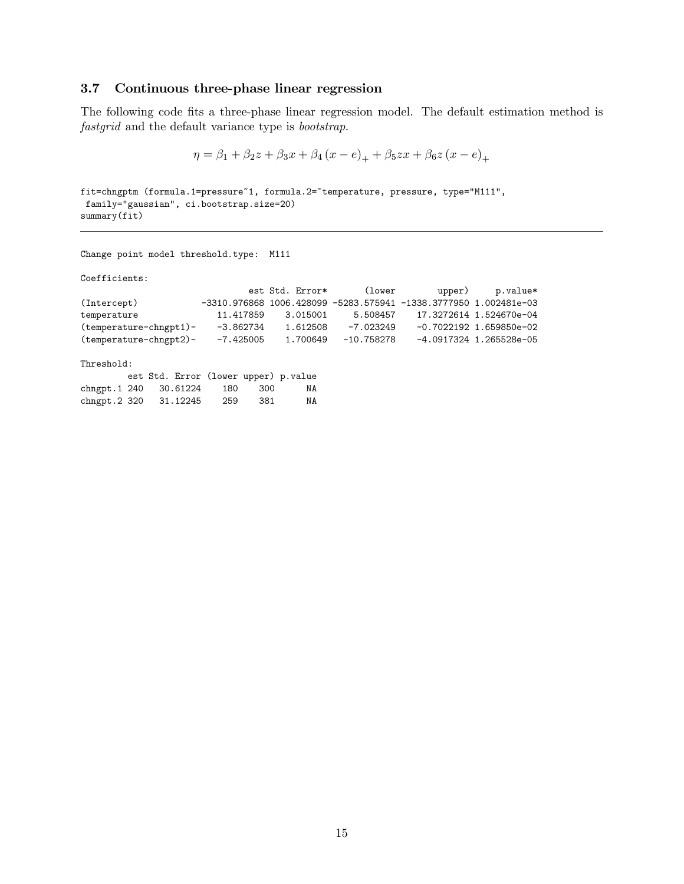### 3.7 Continuous three-phase linear regression

The following code fits a three-phase linear regression model. The default estimation method is fastgrid and the default variance type is bootstrap.

$$
\eta = \beta_1 + \beta_2 z + \beta_3 x + \beta_4 (x - e)_+ + \beta_5 z x + \beta_6 z (x - e)_+
$$

fit=chngptm (formula.1=pressure~1, formula.2="temperature, pressure, type="M111", family="gaussian", ci.bootstrap.size=20) summary(fit)

Change point model threshold.type: M111

Coefficients:

|                          |             | est Std. Error* | (lower       | upper)                                                                 | p.value*                  |
|--------------------------|-------------|-----------------|--------------|------------------------------------------------------------------------|---------------------------|
| (Intercept)              |             |                 |              | $-3310.976868$ 1006.428099 $-5283.575941$ $-1338.3777950$ 1.002481e-03 |                           |
| temperature              | 11.417859   | 3.015001        | 5.508457     |                                                                        | 17.3272614 1.524670e-04   |
| $(temperature-chngt1)$ - | -3.862734   | 1.612508        | $-7.023249$  |                                                                        | $-0.7022192$ 1.659850e-02 |
| (temperature-chngpt2)-   | $-7.425005$ | 1.700649        | $-10.758278$ |                                                                        | $-4.0917324$ 1.265528e-05 |
|                          |             |                 |              |                                                                        |                           |

Threshold:

|                       |  |       |       | est Std. Error (lower upper) p.value |
|-----------------------|--|-------|-------|--------------------------------------|
| chngpt.1 240 30.61224 |  | - 180 | - 300 | NA                                   |
| chngpt.2 320 31.12245 |  | -259  | -381  | ΝA                                   |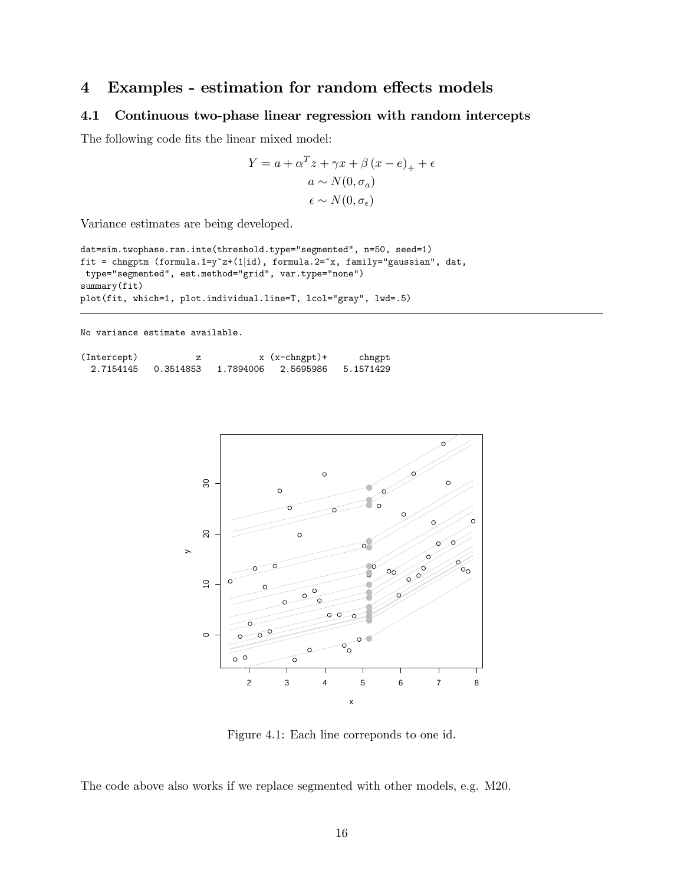# 4 Examples - estimation for random effects models

#### 4.1 Continuous two-phase linear regression with random intercepts

The following code fits the linear mixed model:

$$
Y = a + \alpha^{T} z + \gamma x + \beta (x - e)_{+} + \epsilon
$$

$$
a \sim N(0, \sigma_{a})
$$

$$
\epsilon \sim N(0, \sigma_{\epsilon})
$$

Variance estimates are being developed.

```
dat=sim.twophase.ran.inte(threshold.type="segmented", n=50, seed=1)
fit = chngptm (formula.1=y<sup>\sim</sup>z+(1|id), formula.2=\simx, family="gaussian", dat,
 type="segmented", est.method="grid", var.type="none")
summary(fit)
plot(fit, which=1, plot.individual.line=T, lcol="gray", lwd=.5)
```
No variance estimate available.

| (Intercept) |           |           | $x$ ( $x$ -chngpt) + | chngpt    |
|-------------|-----------|-----------|----------------------|-----------|
| 2.7154145   | 0.3514853 | 1.7894006 | 2.5695986            | 5.1571429 |



Figure 4.1: Each line correponds to one id.

The code above also works if we replace segmented with other models, e.g. M20.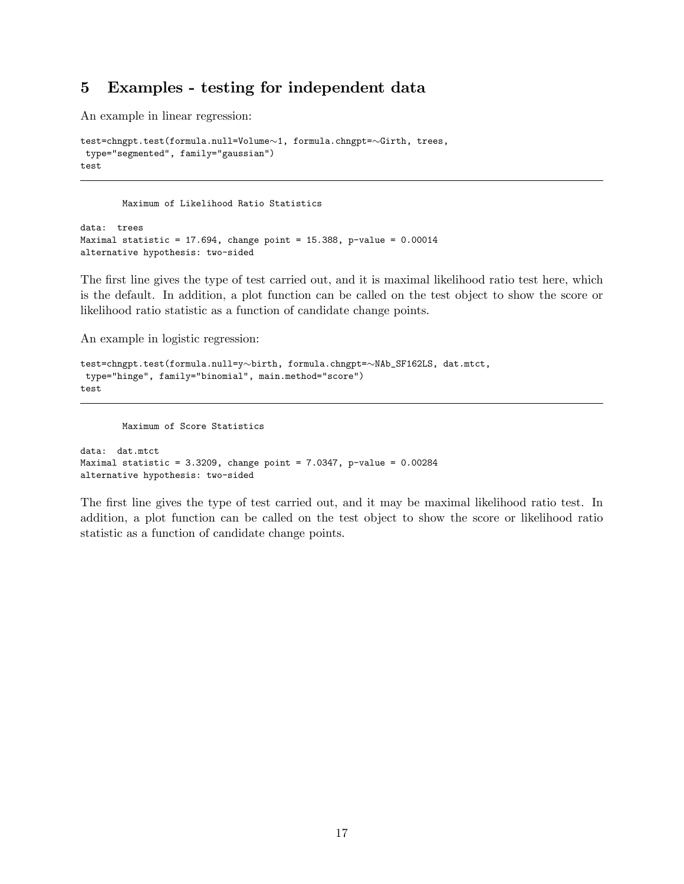# 5 Examples - testing for independent data

An example in linear regression:

```
test=chngpt.test(formula.null=Volume~1, formula.chngpt=~Girth, trees,
type="segmented", family="gaussian")
test
```
Maximum of Likelihood Ratio Statistics

```
data: trees
Maximal statistic = 17.694, change point = 15.388, p-value = 0.00014alternative hypothesis: two-sided
```
The first line gives the type of test carried out, and it is maximal likelihood ratio test here, which is the default. In addition, a plot function can be called on the test object to show the score or likelihood ratio statistic as a function of candidate change points.

An example in logistic regression:

```
test=chngpt.test(formula.null=y~birth, formula.chngpt=~NAb_SF162LS, dat.mtct,
type="hinge", family="binomial", main.method="score")
test
```
Maximum of Score Statistics

```
data: dat.mtct
Maximal statistic = 3.3209, change point = 7.0347, p-value = 0.00284alternative hypothesis: two-sided
```
The first line gives the type of test carried out, and it may be maximal likelihood ratio test. In addition, a plot function can be called on the test object to show the score or likelihood ratio statistic as a function of candidate change points.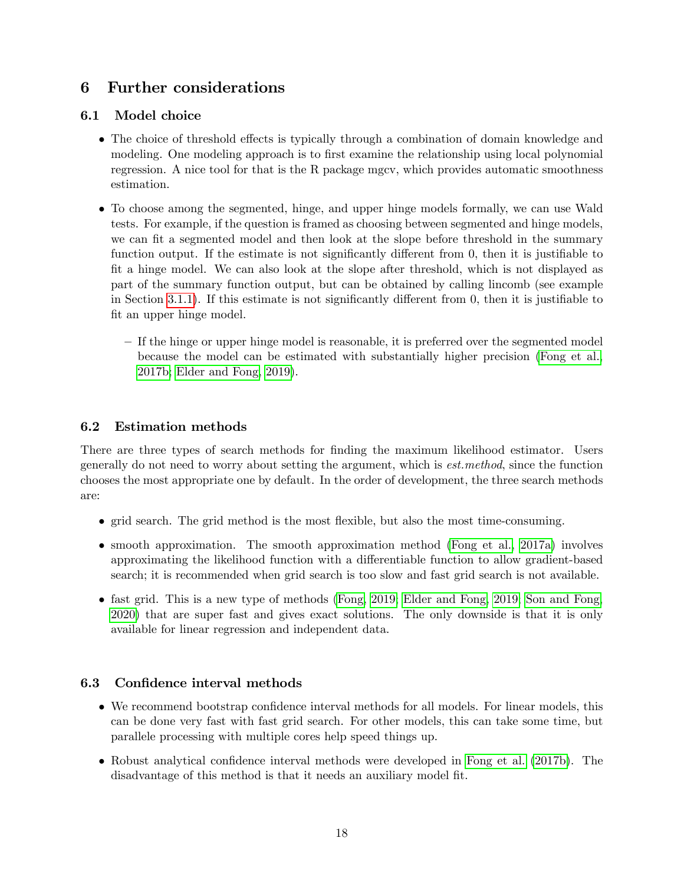# 6 Further considerations

### 6.1 Model choice

- The choice of threshold effects is typically through a combination of domain knowledge and modeling. One modeling approach is to first examine the relationship using local polynomial regression. A nice tool for that is the R package mgcv, which provides automatic smoothness estimation.
- To choose among the segmented, hinge, and upper hinge models formally, we can use Wald tests. For example, if the question is framed as choosing between segmented and hinge models, we can fit a segmented model and then look at the slope before threshold in the summary function output. If the estimate is not significantly different from  $0$ , then it is justifiable to Öt a hinge model. We can also look at the slope after threshold, which is not displayed as part of the summary function output, but can be obtained by calling lincomb (see example in Section [3.1.1\)](#page-6-0). If this estimate is not significantly different from 0, then it is justifiable to fit an upper hinge model.
	- ñ If the hinge or upper hinge model is reasonable, it is preferred over the segmented model because the model can be estimated with substantially higher precision [\(Fong et al.,](#page-19-4) [2017b;](#page-19-4) [Elder and Fong, 2019\)](#page-19-2).

### 6.2 Estimation methods

There are three types of search methods for finding the maximum likelihood estimator. Users generally do not need to worry about setting the argument, which is est.method, since the function chooses the most appropriate one by default. In the order of development, the three search methods are:

- grid search. The grid method is the most áexible, but also the most time-consuming.
- smooth approximation. The smooth approximation method [\(Fong et al., 2017a\)](#page-19-3) involves approximating the likelihood function with a differentiable function to allow gradient-based search; it is recommended when grid search is too slow and fast grid search is not available.
- fast grid. This is a new type of methods [\(Fong, 2019;](#page-19-6) [Elder and Fong, 2019;](#page-19-2) [Son and Fong,](#page-19-1) [2020\)](#page-19-1) that are super fast and gives exact solutions. The only downside is that it is only available for linear regression and independent data.

### 6.3 Confidence interval methods

- We recommend bootstrap confidence interval methods for all models. For linear models, this can be done very fast with fast grid search. For other models, this can take some time, but parallele processing with multiple cores help speed things up.
- $\bullet$  Robust analytical confidence interval methods were developed in [Fong et al.](#page-19-4) [\(2017b\)](#page-19-4). The disadvantage of this method is that it needs an auxiliary model fit.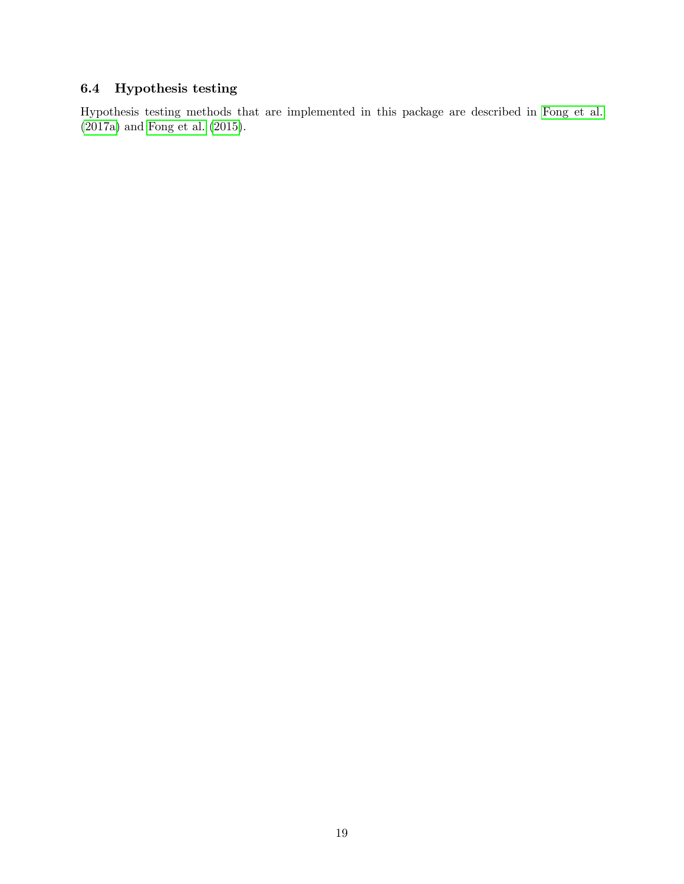## 6.4 Hypothesis testing

Hypothesis testing methods that are implemented in this package are described in [Fong et al.](#page-19-3) [\(2017a\)](#page-19-3) and [Fong et al.](#page-19-5) [\(2015\)](#page-19-5).